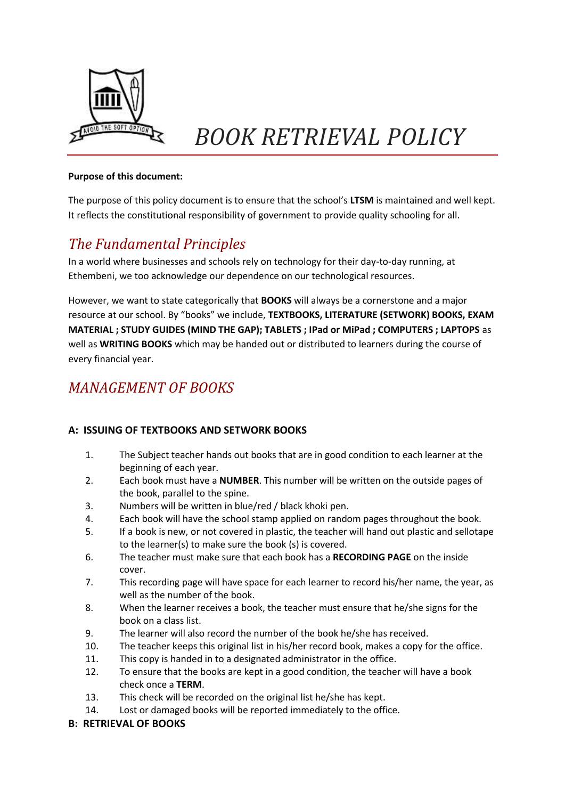

# *BOOK RETRIEVAL POLICY*

#### **Purpose of this document:**

The purpose of this policy document is to ensure that the school's **LTSM** is maintained and well kept. It reflects the constitutional responsibility of government to provide quality schooling for all.

## *The Fundamental Principles*

In a world where businesses and schools rely on technology for their day-to-day running, at Ethembeni, we too acknowledge our dependence on our technological resources.

However, we want to state categorically that **BOOKS** will always be a cornerstone and a major resource at our school. By "books" we include, **TEXTBOOKS, LITERATURE (SETWORK) BOOKS, EXAM MATERIAL ; STUDY GUIDES (MIND THE GAP); TABLETS ; IPad or MiPad ; COMPUTERS ; LAPTOPS** as well as **WRITING BOOKS** which may be handed out or distributed to learners during the course of every financial year.

## *MANAGEMENT OF BOOKS*

### **A: ISSUING OF TEXTBOOKS AND SETWORK BOOKS**

- 1. The Subject teacher hands out books that are in good condition to each learner at the beginning of each year.
- 2. Each book must have a **NUMBER**. This number will be written on the outside pages of the book, parallel to the spine.
- 3. Numbers will be written in blue/red / black khoki pen.
- 4. Each book will have the school stamp applied on random pages throughout the book.
- 5. If a book is new, or not covered in plastic, the teacher will hand out plastic and sellotape to the learner(s) to make sure the book (s) is covered.
- 6. The teacher must make sure that each book has a **RECORDING PAGE** on the inside cover.
- 7. This recording page will have space for each learner to record his/her name, the year, as well as the number of the book.
- 8. When the learner receives a book, the teacher must ensure that he/she signs for the book on a class list.
- 9. The learner will also record the number of the book he/she has received.
- 10. The teacher keeps this original list in his/her record book, makes a copy for the office.
- 11. This copy is handed in to a designated administrator in the office.
- 12. To ensure that the books are kept in a good condition, the teacher will have a book check once a **TERM**.
- 13. This check will be recorded on the original list he/she has kept.
- 14. Lost or damaged books will be reported immediately to the office.

### **B: RETRIEVAL OF BOOKS**